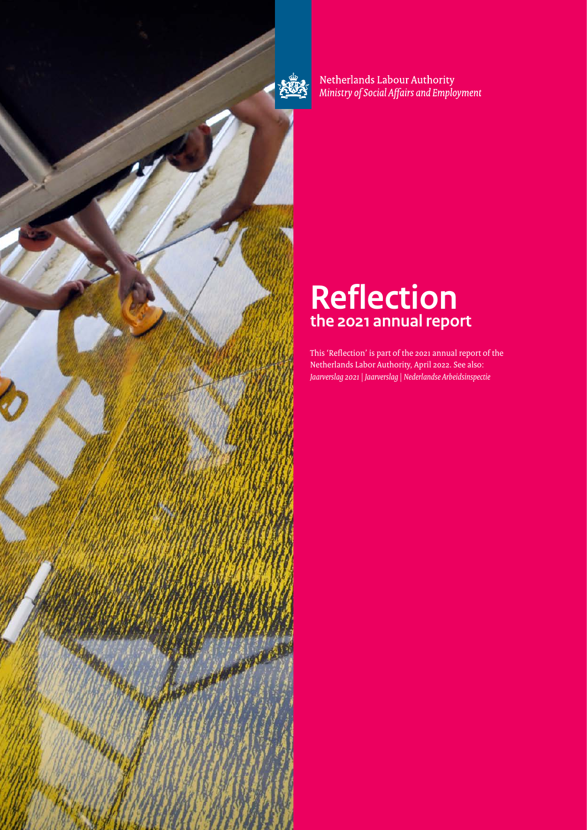

Netherlands Labour Authority Ministry of Social Affairs and Employment

# **Reflection the 2021 annual report**

This 'Reflection' is part of the 2021 annual report of the Netherlands Labor Authority, April 2022. See also: *Jaarverslag 2021 | Jaarverslag | Nederlandse Arbeidsinspectie*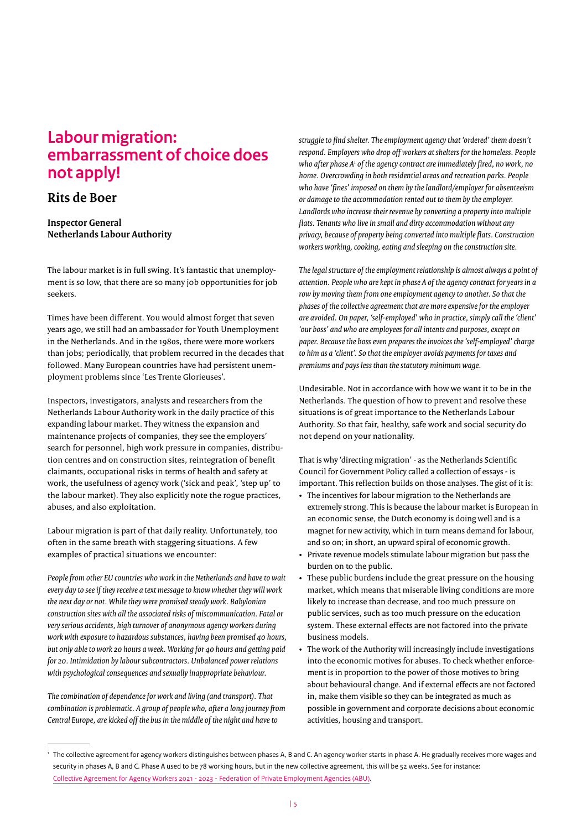### **Labour migration: embarrassment of choice does not apply!**

### **Rits de Boer**

**Inspector General Netherlands Labour Authority**

The labour market is in full swing. It's fantastic that unemployment is so low, that there are so many job opportunities for job seekers.

Times have been different. You would almost forget that seven years ago, we still had an ambassador for Youth Unemployment in the Netherlands. And in the 1980s, there were more workers than jobs; periodically, that problem recurred in the decades that followed. Many European countries have had persistent unemployment problems since 'Les Trente Glorieuses'.

Inspectors, investigators, analysts and researchers from the Netherlands Labour Authority work in the daily practice of this expanding labour market. They witness the expansion and maintenance projects of companies, they see the employers' search for personnel, high work pressure in companies, distribution centres and on construction sites, reintegration of benefit claimants, occupational risks in terms of health and safety at work, the usefulness of agency work ('sick and peak', 'step up' to the labour market). They also explicitly note the rogue practices, abuses, and also exploitation.

Labour migration is part of that daily reality. Unfortunately, too often in the same breath with staggering situations. A few examples of practical situations we encounter:

*People from other EU countries who work in the Netherlands and have to wait every day to see if they receive a text message to know whether they will work the next day or not. While they were promised steady work. Babylonian construction sites with all the associated risks of miscommunication. Fatal or very serious accidents, high turnover of anonymous agency workers during work with exposure to hazardous substances, having been promised 40 hours, but only able to work 20 hours a week. Working for 40 hours and getting paid for 20. Intimidation by labour subcontractors. Unbalanced power relations with psychological consequences and sexually inappropriate behaviour.* 

*The combination of dependence for work and living (and transport). That combination is problematic. A group of people who, after a long journey from Central Europe, are kicked off the bus in the middle of the night and have to* 

*struggle to find shelter. The employment agency that 'ordered' them doesn't respond. Employers who drop off workers at shelters for the homeless. People*  who after phase A<sup>1</sup> of the agency contract are immediately fired, no work, no *home. Overcrowding in both residential areas and recreation parks. People who have 'fines' imposed on them by the landlord/employer for absenteeism or damage to the accommodation rented out to them by the employer. Landlords who increase their revenue by converting a property into multiple flats. Tenants who live in small and dirty accommodation without any privacy, because of property being converted into multiple flats. Construction workers working, cooking, eating and sleeping on the construction site.* 

*The legal structure of the employment relationship is almost always a point of attention. People who are kept in phase A of the agency contract for years in a row by moving them from one employment agency to another. So that the phases of the collective agreement that are more expensive for the employer are avoided. On paper, 'self-employed' who in practice, simply call the 'client' 'our boss' and who are employees for all intents and purposes, except on paper. Because the boss even prepares the invoices the 'self-employed' charge to him as a 'client'. So that the employer avoids payments for taxes and premiums and pays less than the statutory minimum wage.*

Undesirable. Not in accordance with how we want it to be in the Netherlands. The question of how to prevent and resolve these situations is of great importance to the Netherlands Labour Authority. So that fair, healthy, safe work and social security do not depend on your nationality.

That is why 'directing migration' - as the Netherlands Scientific Council for Government Policy called a collection of essays - is important. This reflection builds on those analyses. The gist of it is:

- The incentives for labour migration to the Netherlands are extremely strong. This is because the labour market is European in an economic sense, the Dutch economy is doing well and is a magnet for new activity, which in turn means demand for labour, and so on; in short, an upward spiral of economic growth.
- Private revenue models stimulate labour migration but pass the burden on to the public.
- These public burdens include the great pressure on the housing market, which means that miserable living conditions are more likely to increase than decrease, and too much pressure on public services, such as too much pressure on the education system. These external effects are not factored into the private business models.
- The work of the Authority will increasingly include investigations into the economic motives for abuses. To check whether enforcement is in proportion to the power of those motives to bring about behavioural change. And if external effects are not factored in, make them visible so they can be integrated as much as possible in government and corporate decisions about economic activities, housing and transport.

<sup>1</sup> The collective agreement for agency workers distinguishes between phases A, B and C. An agency worker starts in phase A. He gradually receives more wages and security in phases A, B and C. Phase A used to be 78 working hours, but in the new collective agreement, this will be 52 weeks. See for instance: [Collective Agreement for Agency Workers 2021 - 2023 - Federation of Private Employment Agencies \(ABU\)](https://www.abu.nl/cao/cao-voor-uitzendkrachten/).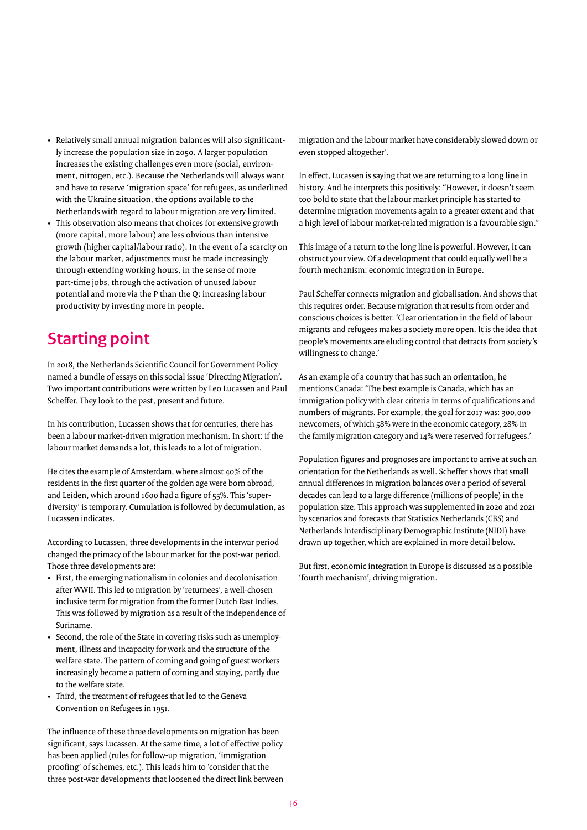- Relatively small annual migration balances will also significantly increase the population size in 2050. A larger population increases the existing challenges even more (social, environment, nitrogen, etc.). Because the Netherlands will always want and have to reserve 'migration space' for refugees, as underlined with the Ukraine situation, the options available to the Netherlands with regard to labour migration are very limited.
- This observation also means that choices for extensive growth (more capital, more labour) are less obvious than intensive growth (higher capital/labour ratio). In the event of a scarcity on the labour market, adjustments must be made increasingly through extending working hours, in the sense of more part-time jobs, through the activation of unused labour potential and more via the P than the Q: increasing labour productivity by investing more in people.

### **Starting point**

In 2018, the Netherlands Scientific Council for Government Policy named a bundle of essays on this social issue 'Directing Migration'. Two important contributions were written by Leo Lucassen and Paul Scheffer. They look to the past, present and future.

In his contribution, Lucassen shows that for centuries, there has been a labour market-driven migration mechanism. In short: if the labour market demands a lot, this leads to a lot of migration.

He cites the example of Amsterdam, where almost 40% of the residents in the first quarter of the golden age were born abroad, and Leiden, which around 1600 had a figure of 55%. This 'superdiversity' is temporary. Cumulation is followed by decumulation, as Lucassen indicates.

According to Lucassen, three developments in the interwar period changed the primacy of the labour market for the post-war period. Those three developments are:

- First, the emerging nationalism in colonies and decolonisation after WWII. This led to migration by 'returnees', a well-chosen inclusive term for migration from the former Dutch East Indies. This was followed by migration as a result of the independence of Suriname.
- Second, the role of the State in covering risks such as unemployment, illness and incapacity for work and the structure of the welfare state. The pattern of coming and going of guest workers increasingly became a pattern of coming and staying, partly due to the welfare state.
- Third, the treatment of refugees that led to the Geneva Convention on Refugees in 1951.

The influence of these three developments on migration has been significant, says Lucassen. At the same time, a lot of effective policy has been applied (rules for follow-up migration, 'immigration proofing' of schemes, etc.). This leads him to 'consider that the three post-war developments that loosened the direct link between

migration and the labour market have considerably slowed down or even stopped altogether'.

In effect, Lucassen is saying that we are returning to a long line in history. And he interprets this positively: "However, it doesn't seem too bold to state that the labour market principle has started to determine migration movements again to a greater extent and that a high level of labour market-related migration is a favourable sign."

This image of a return to the long line is powerful. However, it can obstruct your view. Of a development that could equally well be a fourth mechanism: economic integration in Europe.

Paul Scheffer connects migration and globalisation. And shows that this requires order. Because migration that results from order and conscious choices is better. 'Clear orientation in the field of labour migrants and refugees makes a society more open. It is the idea that people's movements are eluding control that detracts from society's willingness to change.'

As an example of a country that has such an orientation, he mentions Canada: 'The best example is Canada, which has an immigration policy with clear criteria in terms of qualifications and numbers of migrants. For example, the goal for 2017 was: 300,000 newcomers, of which 58% were in the economic category, 28% in the family migration category and 14% were reserved for refugees.'

Population figures and prognoses are important to arrive at such an orientation for the Netherlands as well. Scheffer shows that small annual differences in migration balances over a period of several decades can lead to a large difference (millions of people) in the population size. This approach was supplemented in 2020 and 2021 by scenarios and forecasts that Statistics Netherlands (CBS) and Netherlands Interdisciplinary Demographic Institute (NIDI) have drawn up together, which are explained in more detail below.

But first, economic integration in Europe is discussed as a possible 'fourth mechanism', driving migration.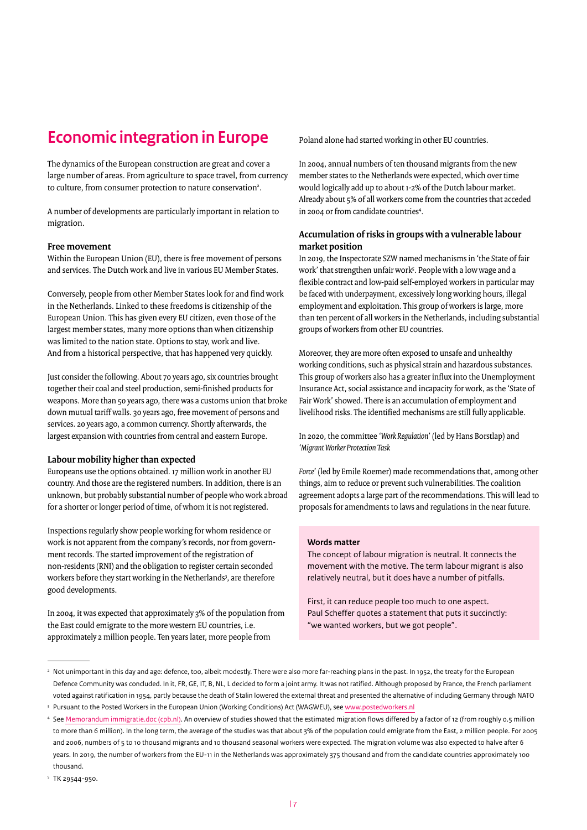## **Economic integration in Europe**

The dynamics of the European construction are great and cover a large number of areas. From agriculture to space travel, from currency to culture, from consumer protection to nature conservation<sup>2</sup>.

A number of developments are particularly important in relation to migration.

#### **Free movement**

Within the European Union (EU), there is free movement of persons and services. The Dutch work and live in various EU Member States.

Conversely, people from other Member States look for and find work in the Netherlands. Linked to these freedoms is citizenship of the European Union. This has given every EU citizen, even those of the largest member states, many more options than when citizenship was limited to the nation state. Options to stay, work and live. And from a historical perspective, that has happened very quickly.

Just consider the following. About 70 years ago, six countries brought together their coal and steel production, semi-finished products for weapons. More than 50 years ago, there was a customs union that broke down mutual tariff walls. 30 years ago, free movement of persons and services. 20 years ago, a common currency. Shortly afterwards, the largest expansion with countries from central and eastern Europe.

#### **Labour mobility higher than expected**

Europeans use the options obtained. 17 million work in another EU country. And those are the registered numbers. In addition, there is an unknown, but probably substantial number of people who work abroad for a shorter or longer period of time, of whom it is not registered.

Inspections regularly show people working for whom residence or work is not apparent from the company's records, nor from government records. The started improvement of the registration of non-residents (RNI) and the obligation to register certain seconded workers before they start working in the Netherlands<sup>3</sup>, are therefore good developments.

In 2004, it was expected that approximately 3% of the population from the East could emigrate to the more western EU countries, i.e. approximately 2 million people. Ten years later, more people from

Poland alone had started working in other EU countries.

In 2004, annual numbers of ten thousand migrants from the new member states to the Netherlands were expected, which over time would logically add up to about 1-2% of the Dutch labour market. Already about 5% of all workers come from the countries that acceded in 2004 or from candidate countries4 .

#### **Accumulation of risks in groups with a vulnerable labour market position**

In 2019, the Inspectorate SZW named mechanisms in 'the State of fair work' that strengthen unfair work<sup>5</sup>. People with a low wage and a flexible contract and low-paid self-employed workers in particular may be faced with underpayment, excessively long working hours, illegal employment and exploitation. This group of workers is large, more than ten percent of all workers in the Netherlands, including substantial groups of workers from other EU countries.

Moreover, they are more often exposed to unsafe and unhealthy working conditions, such as physical strain and hazardous substances. This group of workers also has a greater influx into the Unemployment Insurance Act, social assistance and incapacity for work, as the 'State of Fair Work' showed. There is an accumulation of employment and livelihood risks. The identified mechanisms are still fully applicable.

In 2020, the committee *'Work Regulation*' (led by Hans Borstlap) and *'Migrant Worker Protection Task* 

*Force*' (led by Emile Roemer) made recommendations that, among other things, aim to reduce or prevent such vulnerabilities. The coalition agreement adopts a large part of the recommendations. This will lead to proposals for amendments to laws and regulations in the near future.

#### **Words matter**

The concept of labour migration is neutral. It connects the movement with the motive. The term labour migrant is also relatively neutral, but it does have a number of pitfalls.

First, it can reduce people too much to one aspect. Paul Scheffer quotes a statement that puts it succinctly: "we wanted workers, but we got people".

<sup>&</sup>lt;sup>2</sup> Not unimportant in this day and age: defence, too, albeit modestly. There were also more far-reaching plans in the past. In 1952, the treaty for the European Defence Community was concluded. In it, FR, GE, IT, B, NL, L decided to form a joint army. It was not ratified. Although proposed by France, the French parliament voted against ratification in 1954, partly because the death of Stalin lowered the external threat and presented the alternative of including Germany through NATO

<sup>3</sup> Pursuant to the Posted Workers in the European Union (Working Conditions) Act (WAGWEU), see [www.postedworkers.nl](http://www.postedworkers.nl)

<sup>4</sup> See [Memorandum immigratie.doc \(cpb.nl\)](https://www.cpb.nl/sites/default/files/publicaties/download/arbeidsmigratie-uit-de-midden-en-oost-europese-toetredingslanden.pdf). An overview of studies showed that the estimated migration flows differed by a factor of 12 (from roughly 0.5 million to more than 6 million). In the long term, the average of the studies was that about 3% of the population could emigrate from the East, 2 million people. For 2005 and 2006, numbers of 5 to 10 thousand migrants and 10 thousand seasonal workers were expected. The migration volume was also expected to halve after 6 years. In 2019, the number of workers from the EU-11 in the Netherlands was approximately 375 thousand and from the candidate countries approximately 100 thousand.

<sup>5</sup> TK 29544-950.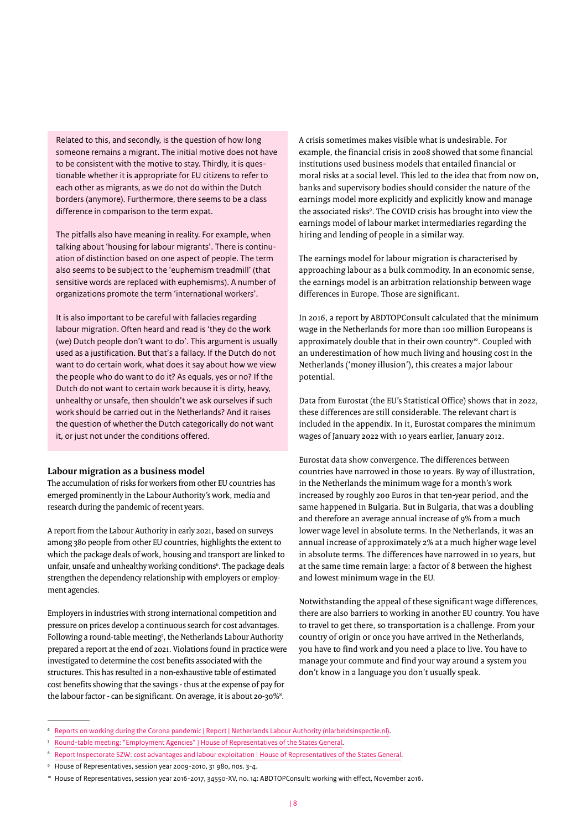Related to this, and secondly, is the question of how long someone remains a migrant. The initial motive does not have to be consistent with the motive to stay. Thirdly, it is questionable whether it is appropriate for EU citizens to refer to each other as migrants, as we do not do within the Dutch borders (anymore). Furthermore, there seems to be a class difference in comparison to the term expat.

The pitfalls also have meaning in reality. For example, when talking about 'housing for labour migrants'. There is continuation of distinction based on one aspect of people. The term also seems to be subject to the 'euphemism treadmill' (that sensitive words are replaced with euphemisms). A number of organizations promote the term 'international workers'.

It is also important to be careful with fallacies regarding labour migration. Often heard and read is 'they do the work (we) Dutch people don't want to do'. This argument is usually used as a justification. But that's a fallacy. If the Dutch do not want to do certain work, what does it say about how we view the people who do want to do it? As equals, yes or no? If the Dutch do not want to certain work because it is dirty, heavy, unhealthy or unsafe, then shouldn't we ask ourselves if such work should be carried out in the Netherlands? And it raises the question of whether the Dutch categorically do not want it, or just not under the conditions offered.

#### **Labour migration as a business model**

The accumulation of risks for workers from other EU countries has emerged prominently in the Labour Authority's work, media and research during the pandemic of recent years.

A report from the Labour Authority in early 2021, based on surveys among 380 people from other EU countries, highlights the extent to which the package deals of work, housing and transport are linked to unfair, unsafe and unhealthy working conditions<sup>6</sup>. The package deals strengthen the dependency relationship with employers or employment agencies.

Employers in industries with strong international competition and pressure on prices develop a continuous search for cost advantages. Following a round-table meeting<sup>7</sup>, the Netherlands Labour Authority prepared a report at the end of 2021. Violations found in practice were investigated to determine the cost benefits associated with the structures. This has resulted in a non-exhaustive table of estimated cost benefits showing that the savings - thus at the expense of pay for the labour factor - can be significant. On average, it is about 20-30%<sup>8</sup>.

A crisis sometimes makes visible what is undesirable. For example, the financial crisis in 2008 showed that some financial institutions used business models that entailed financial or moral risks at a social level. This led to the idea that from now on, banks and supervisory bodies should consider the nature of the earnings model more explicitly and explicitly know and manage the associated risks<sup>9</sup>. The COVID crisis has brought into view the earnings model of labour market intermediaries regarding the hiring and lending of people in a similar way.

The earnings model for labour migration is characterised by approaching labour as a bulk commodity. In an economic sense, the earnings model is an arbitration relationship between wage differences in Europe. Those are significant.

In 2016, a report by ABDTOPConsult calculated that the minimum wage in the Netherlands for more than 100 million Europeans is approximately double that in their own country<sup>10</sup>. Coupled with an underestimation of how much living and housing cost in the Netherlands ('money illusion'), this creates a major labour potential.

Data from Eurostat (the EU's Statistical Office) shows that in 2022, these differences are still considerable. The relevant chart is included in the appendix. In it, Eurostat compares the minimum wages of January 2022 with 10 years earlier, January 2012.

Eurostat data show convergence. The differences between countries have narrowed in those 10 years. By way of illustration, in the Netherlands the minimum wage for a month's work increased by roughly 200 Euros in that ten-year period, and the same happened in Bulgaria. But in Bulgaria, that was a doubling and therefore an average annual increase of 9% from a much lower wage level in absolute terms. In the Netherlands, it was an annual increase of approximately 2% at a much higher wage level in absolute terms. The differences have narrowed in 10 years, but at the same time remain large: a factor of 8 between the highest and lowest minimum wage in the EU.

Notwithstanding the appeal of these significant wage differences, there are also barriers to working in another EU country. You have to travel to get there, so transportation is a challenge. From your country of origin or once you have arrived in the Netherlands, you have to find work and you need a place to live. You have to manage your commute and find your way around a system you don't know in a language you don't usually speak.

[Reports on working during the Corona pandemic | Report | Netherlands Labour Authority \(nlarbeidsinspectie.nl\).](https://www.nlarbeidsinspectie.nl/publicaties/rapporten/2021/01/14/rapporten-over-werken-tijdens-de-coronapandemie)

<sup>7</sup> [Round-table meeting: "Employment Agencies" | House of Representatives of the States General](https://www.tweedekamer.nl/debat_en_vergadering/commissievergaderingen/details?id=2021A03434).

<sup>8</sup> [Report Inspectorate SZW: cost advantages and labour exploitation | House of Representatives of the States General](https://www.tweedekamer.nl/kamerstukken/brieven_regering/detail?id=2021Z20334&did=2021D43507).

<sup>9</sup> House of Representatives, session year 2009-2010, 31 980, nos. 3-4.

<sup>&</sup>lt;sup>10</sup> House of Representatives, session year 2016-2017, 34550-XV, no. 14: ABDTOPConsult: working with effect, November 2016.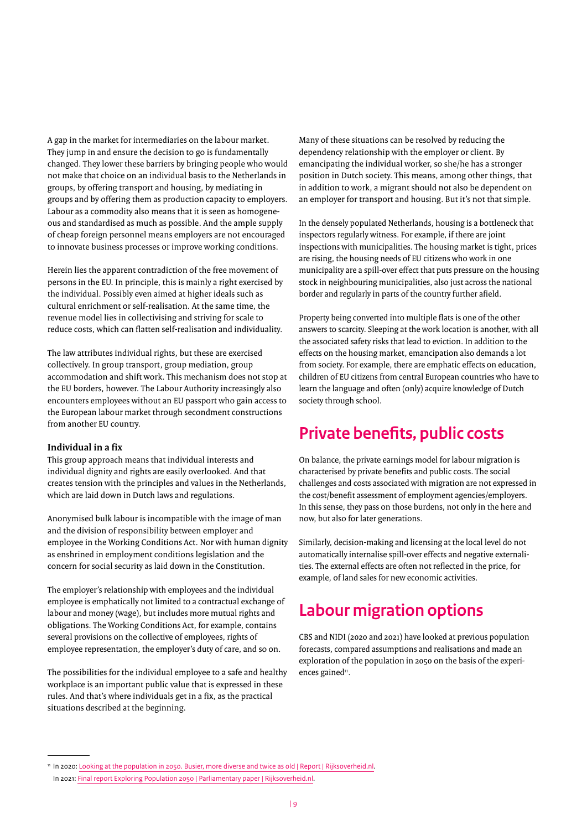A gap in the market for intermediaries on the labour market. They jump in and ensure the decision to go is fundamentally changed. They lower these barriers by bringing people who would not make that choice on an individual basis to the Netherlands in groups, by offering transport and housing, by mediating in groups and by offering them as production capacity to employers. Labour as a commodity also means that it is seen as homogeneous and standardised as much as possible. And the ample supply of cheap foreign personnel means employers are not encouraged to innovate business processes or improve working conditions.

Herein lies the apparent contradiction of the free movement of persons in the EU. In principle, this is mainly a right exercised by the individual. Possibly even aimed at higher ideals such as cultural enrichment or self-realisation. At the same time, the revenue model lies in collectivising and striving for scale to reduce costs, which can flatten self-realisation and individuality.

The law attributes individual rights, but these are exercised collectively. In group transport, group mediation, group accommodation and shift work. This mechanism does not stop at the EU borders, however. The Labour Authority increasingly also encounters employees without an EU passport who gain access to the European labour market through secondment constructions from another EU country.

#### **Individual in a fix**

This group approach means that individual interests and individual dignity and rights are easily overlooked. And that creates tension with the principles and values in the Netherlands, which are laid down in Dutch laws and regulations.

Anonymised bulk labour is incompatible with the image of man and the division of responsibility between employer and employee in the Working Conditions Act. Nor with human dignity as enshrined in employment conditions legislation and the concern for social security as laid down in the Constitution.

The employer's relationship with employees and the individual employee is emphatically not limited to a contractual exchange of labour and money (wage), but includes more mutual rights and obligations. The Working Conditions Act, for example, contains several provisions on the collective of employees, rights of employee representation, the employer's duty of care, and so on.

The possibilities for the individual employee to a safe and healthy workplace is an important public value that is expressed in these rules. And that's where individuals get in a fix, as the practical situations described at the beginning.

Many of these situations can be resolved by reducing the dependency relationship with the employer or client. By emancipating the individual worker, so she/he has a stronger position in Dutch society. This means, among other things, that in addition to work, a migrant should not also be dependent on an employer for transport and housing. But it's not that simple.

In the densely populated Netherlands, housing is a bottleneck that inspectors regularly witness. For example, if there are joint inspections with municipalities. The housing market is tight, prices are rising, the housing needs of EU citizens who work in one municipality are a spill-over effect that puts pressure on the housing stock in neighbouring municipalities, also just across the national border and regularly in parts of the country further afield.

Property being converted into multiple flats is one of the other answers to scarcity. Sleeping at the work location is another, with all the associated safety risks that lead to eviction. In addition to the effects on the housing market, emancipation also demands a lot from society. For example, there are emphatic effects on education, children of EU citizens from central European countries who have to learn the language and often (only) acquire knowledge of Dutch society through school.

### **Private benefts, public costs**

On balance, the private earnings model for labour migration is characterised by private benefits and public costs. The social challenges and costs associated with migration are not expressed in the cost/benefit assessment of employment agencies/employers. In this sense, they pass on those burdens, not only in the here and now, but also for later generations.

Similarly, decision-making and licensing at the local level do not automatically internalise spill-over effects and negative externalities. The external effects are often not reflected in the price, for example, of land sales for new economic activities.

### **Labour migration options**

CBS and NIDI (2020 and 2021) have looked at previous population forecasts, compared assumptions and realisations and made an exploration of the population in 2050 on the basis of the experiences gained<sup>11</sup>.

<sup>11</sup> In 2020: [Looking at the population in 2050. Busier, more diverse and twice as old | Report | Rijksoverheid.nl](https://www.rijksoverheid.nl/documenten/rapporten/2020/07/07/bevolking-2050-in-beeld-drukker-diverser-en-dubbelgrijs).

In 2021: [Final report Exploring Population 2050 | Parliamentary paper | Rijksoverheid.nl.](https://www.rijksoverheid.nl/documenten/kamerstukken/2021/04/13/eindrapport-verkenning-bevolking-2050-x)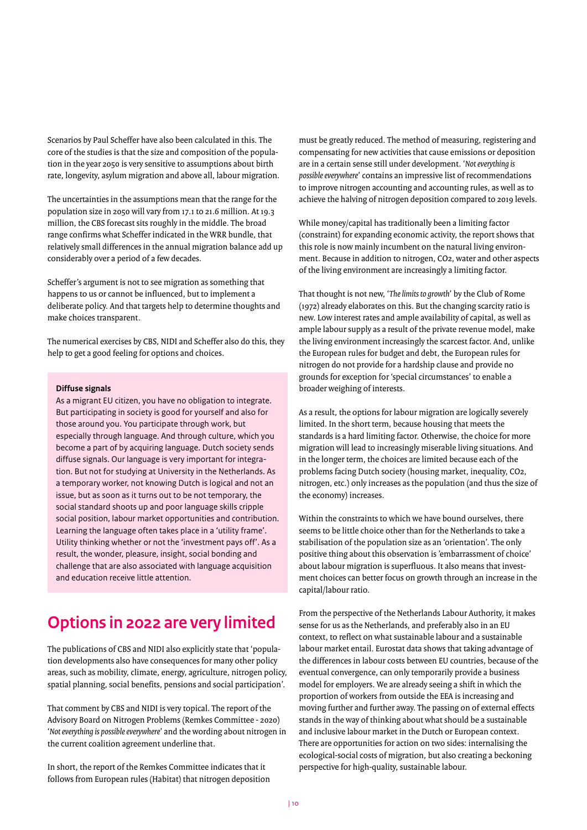Scenarios by Paul Scheffer have also been calculated in this. The core of the studies is that the size and composition of the population in the year 2050 is very sensitive to assumptions about birth rate, longevity, asylum migration and above all, labour migration.

The uncertainties in the assumptions mean that the range for the population size in 2050 will vary from 17.1 to 21.6 million. At 19.3 million, the CBS forecast sits roughly in the middle. The broad range confirms what Scheffer indicated in the WRR bundle, that relatively small differences in the annual migration balance add up considerably over a period of a few decades.

Scheffer's argument is not to see migration as something that happens to us or cannot be influenced, but to implement a deliberate policy. And that targets help to determine thoughts and make choices transparent.

The numerical exercises by CBS, NIDI and Scheffer also do this, they help to get a good feeling for options and choices.

#### **Diffuse signals**

As a migrant EU citizen, you have no obligation to integrate. But participating in society is good for yourself and also for those around you. You participate through work, but especially through language. And through culture, which you become a part of by acquiring language. Dutch society sends diffuse signals. Our language is very important for integration. But not for studying at University in the Netherlands. As a temporary worker, not knowing Dutch is logical and not an issue, but as soon as it turns out to be not temporary, the social standard shoots up and poor language skills cripple social position, labour market opportunities and contribution. Learning the language often takes place in a 'utility frame'. Utility thinking whether or not the 'investment pays off'. As a result, the wonder, pleasure, insight, social bonding and challenge that are also associated with language acquisition and education receive little attention.

### **Options in 2022 are very limited**

The publications of CBS and NIDI also explicitly state that 'population developments also have consequences for many other policy areas, such as mobility, climate, energy, agriculture, nitrogen policy, spatial planning, social benefits, pensions and social participation'.

That comment by CBS and NIDI is very topical. The report of the Advisory Board on Nitrogen Problems (Remkes Committee - 2020) '*Not everything is possible everywhere*' and the wording about nitrogen in the current coalition agreement underline that.

In short, the report of the Remkes Committee indicates that it follows from European rules (Habitat) that nitrogen deposition

must be greatly reduced. The method of measuring, registering and compensating for new activities that cause emissions or deposition are in a certain sense still under development. '*Not everything is possible everywhere*' contains an impressive list of recommendations to improve nitrogen accounting and accounting rules, as well as to achieve the halving of nitrogen deposition compared to 2019 levels.

While money/capital has traditionally been a limiting factor (constraint) for expanding economic activity, the report shows that this role is now mainly incumbent on the natural living environment. Because in addition to nitrogen, CO2, water and other aspects of the living environment are increasingly a limiting factor.

That thought is not new, '*The limits to growth*' by the Club of Rome (1972) already elaborates on this. But the changing scarcity ratio is new. Low interest rates and ample availability of capital, as well as ample labour supply as a result of the private revenue model, make the living environment increasingly the scarcest factor. And, unlike the European rules for budget and debt, the European rules for nitrogen do not provide for a hardship clause and provide no grounds for exception for 'special circumstances' to enable a broader weighing of interests.

As a result, the options for labour migration are logically severely limited. In the short term, because housing that meets the standards is a hard limiting factor. Otherwise, the choice for more migration will lead to increasingly miserable living situations. And in the longer term, the choices are limited because each of the problems facing Dutch society (housing market, inequality, CO2, nitrogen, etc.) only increases as the population (and thus the size of the economy) increases.

Within the constraints to which we have bound ourselves, there seems to be little choice other than for the Netherlands to take a stabilisation of the population size as an 'orientation'. The only positive thing about this observation is 'embarrassment of choice' about labour migration is superfluous. It also means that investment choices can better focus on growth through an increase in the capital/labour ratio.

From the perspective of the Netherlands Labour Authority, it makes sense for us as the Netherlands, and preferably also in an EU context, to reflect on what sustainable labour and a sustainable labour market entail. Eurostat data shows that taking advantage of the differences in labour costs between EU countries, because of the eventual convergence, can only temporarily provide a business model for employers. We are already seeing a shift in which the proportion of workers from outside the EEA is increasing and moving further and further away. The passing on of external effects stands in the way of thinking about what should be a sustainable and inclusive labour market in the Dutch or European context. There are opportunities for action on two sides: internalising the ecological-social costs of migration, but also creating a beckoning perspective for high-quality, sustainable labour.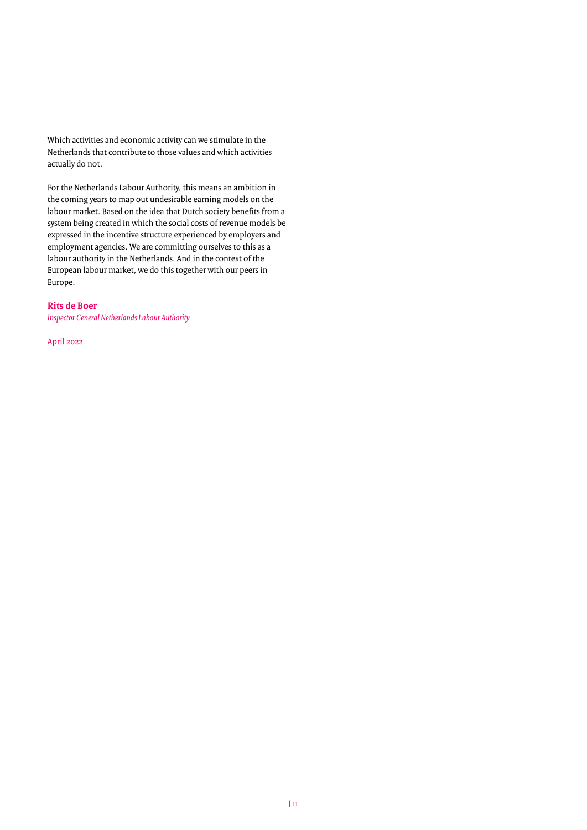Which activities and economic activity can we stimulate in the Netherlands that contribute to those values and which activities actually do not.

For the Netherlands Labour Authority, this means an ambition in the coming years to map out undesirable earning models on the labour market. Based on the idea that Dutch society benefits from a system being created in which the social costs of revenue models be expressed in the incentive structure experienced by employers and employment agencies. We are committing ourselves to this as a labour authority in the Netherlands. And in the context of the European labour market, we do this together with our peers in Europe.

#### **Rits de Boer**

*Inspector General Netherlands Labour Authority*

April 2022